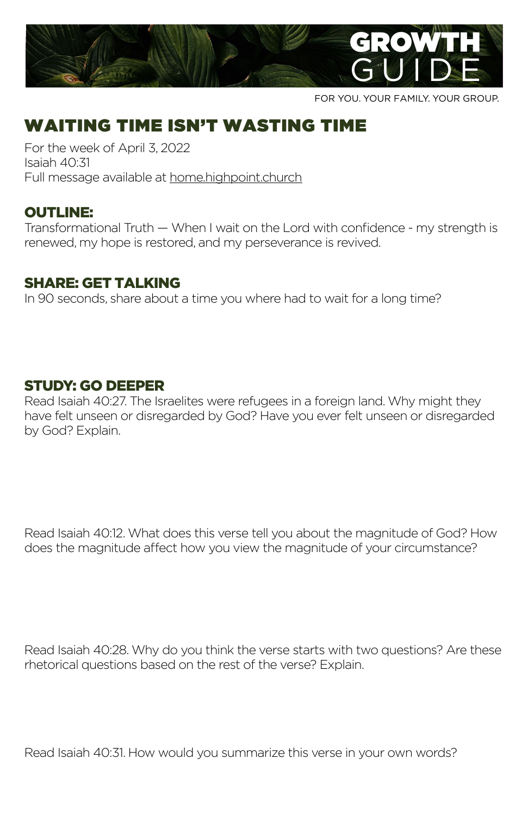

FOR YOU. YOUR FAMILY. YOUR GROUP.

# WAITING TIME ISN'T WASTING TIME

For the week of April 3, 2022 Isaiah 40:31 Full message available at home[.highpoint.church](http://highpoint.church/currentseries)

## OUTLINE:

Transformational Truth — When I wait on the Lord with confidence - my strength is renewed, my hope is restored, and my perseverance is revived.

### SHARE: GET TALKING

In 90 seconds, share about a time you where had to wait for a long time?

## STUDY: GO DEEPER

Read Isaiah 40:27. The Israelites were refugees in a foreign land. Why might they have felt unseen or disregarded by God? Have you ever felt unseen or disregarded by God? Explain.

Read Isaiah 40:12. What does this verse tell you about the magnitude of God? How does the magnitude affect how you view the magnitude of your circumstance?

Read Isaiah 40:28. Why do you think the verse starts with two questions? Are these rhetorical questions based on the rest of the verse? Explain.

Read Isaiah 40:31. How would you summarize this verse in your own words?